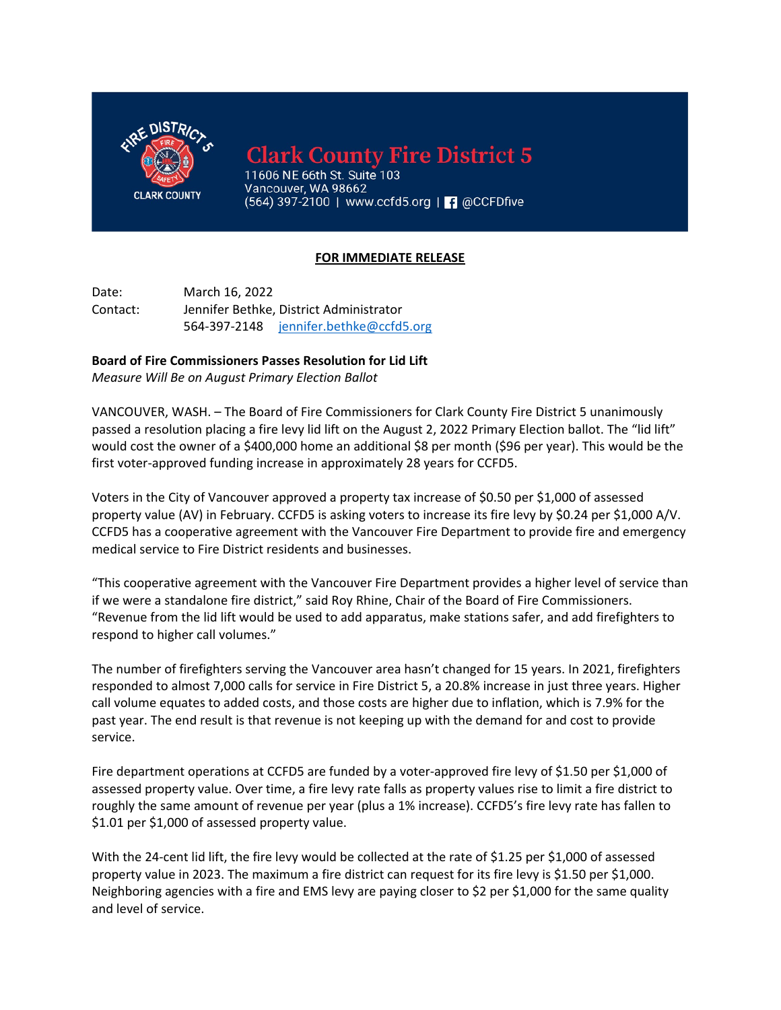

**Clark County Fire District 5** 

11606 NE 66th St. Suite 103 Vancouver, WA 98662 (564) 397-2100 | www.ccfd5.org | | 0 @CCFDfive

## **FOR IMMEDIATE RELEASE**

Date: March 16, 2022 Contact: Jennifer Bethke, District Administrator 564-397-2148 jennifer.bethke@ccfd5.org

## **Board of Fire Commissioners Passes Resolution for Lid Lift**

*Measure Will Be on August Primary Election Ballot* 

VANCOUVER, WASH. – The Board of Fire Commissioners for Clark County Fire District 5 unanimously passed a resolution placing a fire levy lid lift on the August 2, 2022 Primary Election ballot. The "lid lift" would cost the owner of a \$400,000 home an additional \$8 per month (\$96 per year). This would be the first voter-approved funding increase in approximately 28 years for CCFD5.

Voters in the City of Vancouver approved a property tax increase of \$0.50 per \$1,000 of assessed property value (AV) in February. CCFD5 is asking voters to increase its fire levy by \$0.24 per \$1,000 A/V. CCFD5 has a cooperative agreement with the Vancouver Fire Department to provide fire and emergency medical service to Fire District residents and businesses.

"This cooperative agreement with the Vancouver Fire Department provides a higher level of service than if we were a standalone fire district," said Roy Rhine, Chair of the Board of Fire Commissioners. "Revenue from the lid lift would be used to add apparatus, make stations safer, and add firefighters to respond to higher call volumes."

The number of firefighters serving the Vancouver area hasn't changed for 15 years. In 2021, firefighters responded to almost 7,000 calls for service in Fire District 5, a 20.8% increase in just three years. Higher call volume equates to added costs, and those costs are higher due to inflation, which is 7.9% for the past year. The end result is that revenue is not keeping up with the demand for and cost to provide service.

Fire department operations at CCFD5 are funded by a voter-approved fire levy of \$1.50 per \$1,000 of assessed property value. Over time, a fire levy rate falls as property values rise to limit a fire district to roughly the same amount of revenue per year (plus a 1% increase). CCFD5's fire levy rate has fallen to \$1.01 per \$1,000 of assessed property value.

With the 24-cent lid lift, the fire levy would be collected at the rate of \$1.25 per \$1,000 of assessed property value in 2023. The maximum a fire district can request for its fire levy is \$1.50 per \$1,000. Neighboring agencies with a fire and EMS levy are paying closer to \$2 per \$1,000 for the same quality and level of service.